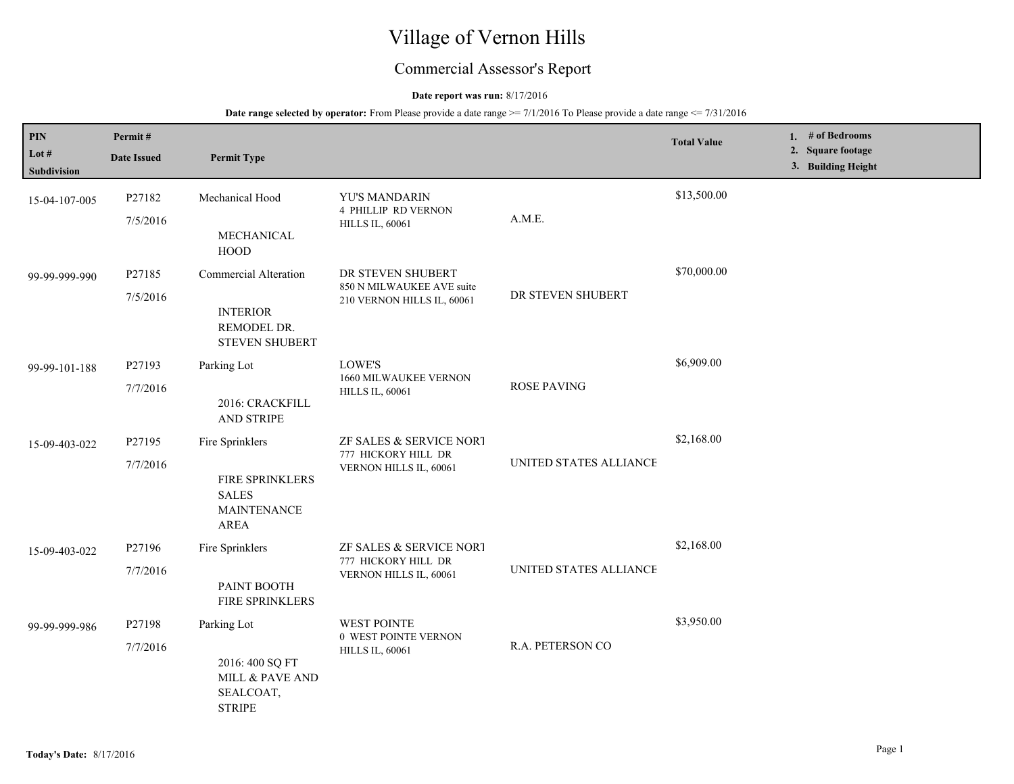# Village of Vernon Hills

## Commercial Assessor's Report

## **Date report was run:** 8/17/2016

| PIN<br>Lot $#$<br>Subdivision | Permit#<br><b>Date Issued</b> | <b>Permit Type</b>                                                               |                                                                              |                        | <b>Total Value</b> | 1. $#$ of Bedrooms<br>2. Square footage<br>3. Building Height |
|-------------------------------|-------------------------------|----------------------------------------------------------------------------------|------------------------------------------------------------------------------|------------------------|--------------------|---------------------------------------------------------------|
| 15-04-107-005                 | P27182<br>7/5/2016            | Mechanical Hood<br>MECHANICAL<br>HOOD                                            | YU'S MANDARIN<br><b>4 PHILLIP RD VERNON</b><br><b>HILLS IL, 60061</b>        | A.M.E.                 | \$13,500.00        |                                                               |
| 99-99-999-990                 | P27185<br>7/5/2016            | Commercial Alteration<br><b>INTERIOR</b><br>REMODEL DR.<br><b>STEVEN SHUBERT</b> | DR STEVEN SHUBERT<br>850 N MILWAUKEE AVE suite<br>210 VERNON HILLS IL, 60061 | DR STEVEN SHUBERT      | \$70,000.00        |                                                               |
| 99-99-101-188                 | P27193<br>7/7/2016            | Parking Lot<br>2016: CRACKFILL<br><b>AND STRIPE</b>                              | LOWE'S<br>1660 MILWAUKEE VERNON<br><b>HILLS IL, 60061</b>                    | <b>ROSE PAVING</b>     | \$6,909.00         |                                                               |
| 15-09-403-022                 | P27195<br>7/7/2016            | Fire Sprinklers<br>FIRE SPRINKLERS<br><b>SALES</b><br><b>MAINTENANCE</b><br>AREA | ZF SALES & SERVICE NORT<br>777 HICKORY HILL DR<br>VERNON HILLS IL, 60061     | UNITED STATES ALLIANCE | \$2,168.00         |                                                               |
| 15-09-403-022                 | P27196<br>7/7/2016            | Fire Sprinklers<br>PAINT BOOTH<br>FIRE SPRINKLERS                                | ZF SALES & SERVICE NORT<br>777 HICKORY HILL DR<br>VERNON HILLS IL, 60061     | UNITED STATES ALLIANCE | \$2,168.00         |                                                               |
| 99-99-999-986                 | P27198<br>7/7/2016            | Parking Lot<br>2016: 400 SQ FT<br>MILL & PAVE AND<br>SEALCOAT,<br><b>STRIPE</b>  | <b>WEST POINTE</b><br>0 WEST POINTE VERNON<br><b>HILLS IL, 60061</b>         | R.A. PETERSON CO       | \$3,950.00         |                                                               |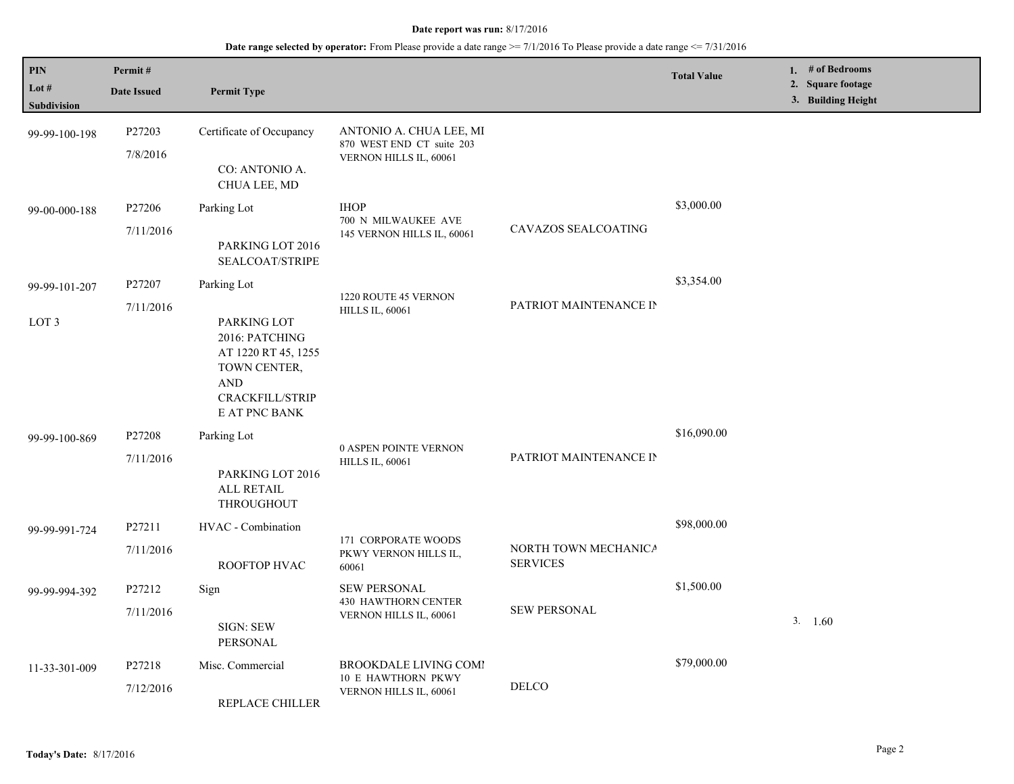| <b>PIN</b><br>Lot #<br>Subdivision | Permit#<br><b>Date Issued</b> | <b>Permit Type</b>                                                                                                                    |                                                                                |                                         | <b>Total Value</b> | 1. $#$ of Bedrooms<br>2. Square footage<br>3. Building Height |
|------------------------------------|-------------------------------|---------------------------------------------------------------------------------------------------------------------------------------|--------------------------------------------------------------------------------|-----------------------------------------|--------------------|---------------------------------------------------------------|
| 99-99-100-198                      | P27203<br>7/8/2016            | Certificate of Occupancy<br>CO: ANTONIO A.<br>CHUA LEE, MD                                                                            | ANTONIO A. CHUA LEE, MI<br>870 WEST END CT suite 203<br>VERNON HILLS IL, 60061 |                                         |                    |                                                               |
| 99-00-000-188                      | P27206<br>7/11/2016           | Parking Lot<br>PARKING LOT 2016<br>SEALCOAT/STRIPE                                                                                    | <b>IHOP</b><br>700 N MILWAUKEE AVE<br>145 VERNON HILLS IL, 60061               | CAVAZOS SEALCOATING                     | \$3,000.00         |                                                               |
| 99-99-101-207<br>LOT <sub>3</sub>  | P27207<br>7/11/2016           | Parking Lot<br>PARKING LOT<br>2016: PATCHING<br>AT 1220 RT 45, 1255<br>TOWN CENTER,<br><b>AND</b><br>CRACKFILL/STRIP<br>E AT PNC BANK | 1220 ROUTE 45 VERNON<br><b>HILLS IL, 60061</b>                                 | PATRIOT MAINTENANCE IN                  | \$3,354.00         |                                                               |
| 99-99-100-869                      | P27208<br>7/11/2016           | Parking Lot<br>PARKING LOT 2016<br><b>ALL RETAIL</b><br>THROUGHOUT                                                                    | 0 ASPEN POINTE VERNON<br><b>HILLS IL, 60061</b>                                | PATRIOT MAINTENANCE IN                  | \$16,090.00        |                                                               |
| 99-99-991-724                      | P27211<br>7/11/2016           | HVAC - Combination<br>ROOFTOP HVAC                                                                                                    | 171 CORPORATE WOODS<br>PKWY VERNON HILLS IL,<br>60061                          | NORTH TOWN MECHANICA<br><b>SERVICES</b> | \$98,000.00        |                                                               |
| 99-99-994-392                      | P27212<br>7/11/2016           | Sign<br><b>SIGN: SEW</b><br>PERSONAL                                                                                                  | <b>SEW PERSONAL</b><br><b>430 HAWTHORN CENTER</b><br>VERNON HILLS IL, 60061    | <b>SEW PERSONAL</b>                     | \$1,500.00         | 3. 1.60                                                       |
| 11-33-301-009                      | P27218<br>7/12/2016           | Misc. Commercial<br>REPLACE CHILLER                                                                                                   | <b>BROOKDALE LIVING COMI</b><br>10 E HAWTHORN PKWY<br>VERNON HILLS IL, 60061   | DELCO                                   | \$79,000.00        |                                                               |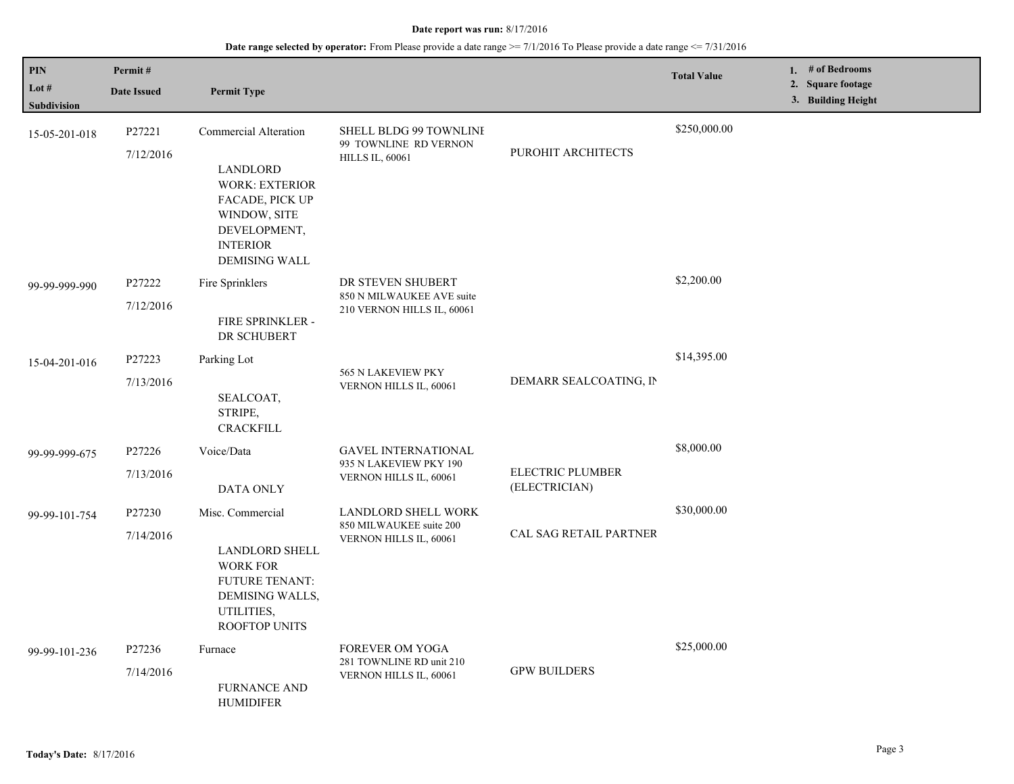| PIN<br>Lot #<br>Subdivision | Permit#<br><b>Date Issued</b> | <b>Permit Type</b>                                                                                                                                              |                                                                                |                                          | <b>Total Value</b> | 1. # of Bedrooms<br>2. Square footage<br>3. Building Height |
|-----------------------------|-------------------------------|-----------------------------------------------------------------------------------------------------------------------------------------------------------------|--------------------------------------------------------------------------------|------------------------------------------|--------------------|-------------------------------------------------------------|
| 15-05-201-018               | P27221<br>7/12/2016           | Commercial Alteration<br><b>LANDLORD</b><br><b>WORK: EXTERIOR</b><br>FACADE, PICK UP<br>WINDOW, SITE<br>DEVELOPMENT,<br><b>INTERIOR</b><br><b>DEMISING WALL</b> | SHELL BLDG 99 TOWNLINE<br>99 TOWNLINE RD VERNON<br><b>HILLS IL, 60061</b>      | PUROHIT ARCHITECTS                       | \$250,000.00       |                                                             |
| 99-99-999-990               | P27222<br>7/12/2016           | Fire Sprinklers<br>FIRE SPRINKLER -<br>DR SCHUBERT                                                                                                              | DR STEVEN SHUBERT<br>850 N MILWAUKEE AVE suite<br>210 VERNON HILLS IL, 60061   |                                          | \$2,200.00         |                                                             |
| 15-04-201-016               | P27223<br>7/13/2016           | Parking Lot<br>SEALCOAT,<br>STRIPE,<br><b>CRACKFILL</b>                                                                                                         | 565 N LAKEVIEW PKY<br>VERNON HILLS IL, 60061                                   | DEMARR SEALCOATING, IN                   | \$14,395.00        |                                                             |
| 99-99-999-675               | P27226<br>7/13/2016           | Voice/Data<br>DATA ONLY                                                                                                                                         | <b>GAVEL INTERNATIONAL</b><br>935 N LAKEVIEW PKY 190<br>VERNON HILLS IL, 60061 | <b>ELECTRIC PLUMBER</b><br>(ELECTRICIAN) | \$8,000.00         |                                                             |
| 99-99-101-754               | P27230<br>7/14/2016           | Misc. Commercial<br><b>LANDLORD SHELL</b><br><b>WORK FOR</b><br><b>FUTURE TENANT:</b><br>DEMISING WALLS,<br>UTILITIES,<br><b>ROOFTOP UNITS</b>                  | LANDLORD SHELL WORK<br>850 MILWAUKEE suite 200<br>VERNON HILLS IL, 60061       | <b>CAL SAG RETAIL PARTNER</b>            | \$30,000.00        |                                                             |
| 99-99-101-236               | P27236<br>7/14/2016           | Furnace<br><b>FURNANCE AND</b><br>HUMIDIFER                                                                                                                     | <b>FOREVER OM YOGA</b><br>281 TOWNLINE RD unit 210<br>VERNON HILLS IL, 60061   | <b>GPW BUILDERS</b>                      | \$25,000.00        |                                                             |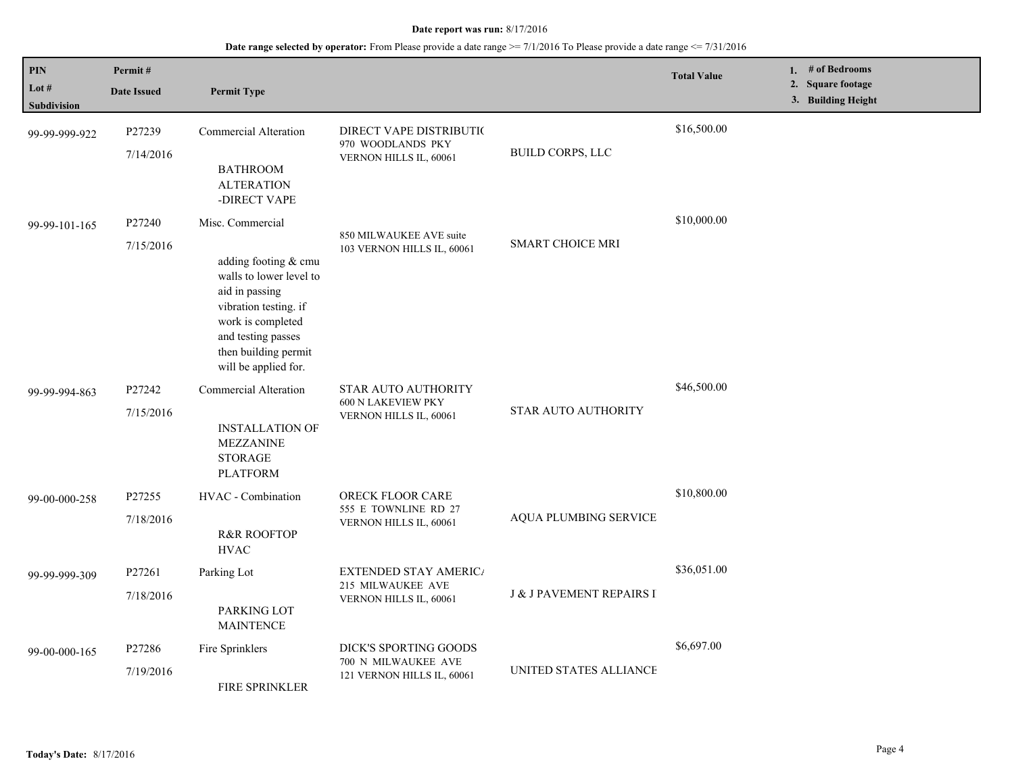| PIN<br>Lot #<br>Subdivision | Permit#<br><b>Date Issued</b> | <b>Permit Type</b>                                                                                                                                                                                        |                                                                             |                                     | <b>Total Value</b> | 1. $#$ of Bedrooms<br>2. Square footage<br>3. Building Height |
|-----------------------------|-------------------------------|-----------------------------------------------------------------------------------------------------------------------------------------------------------------------------------------------------------|-----------------------------------------------------------------------------|-------------------------------------|--------------------|---------------------------------------------------------------|
| 99-99-999-922               | P27239<br>7/14/2016           | Commercial Alteration<br><b>BATHROOM</b><br><b>ALTERATION</b><br>-DIRECT VAPE                                                                                                                             | DIRECT VAPE DISTRIBUTI(<br>970 WOODLANDS PKY<br>VERNON HILLS IL, 60061      | BUILD CORPS, LLC                    | \$16,500.00        |                                                               |
| 99-99-101-165               | P27240<br>7/15/2016           | Misc. Commercial<br>adding footing & cmu<br>walls to lower level to<br>aid in passing<br>vibration testing. if<br>work is completed<br>and testing passes<br>then building permit<br>will be applied for. | 850 MILWAUKEE AVE suite<br>103 VERNON HILLS IL, 60061                       | <b>SMART CHOICE MRI</b>             | \$10,000.00        |                                                               |
| 99-99-994-863               | P27242<br>7/15/2016           | Commercial Alteration<br><b>INSTALLATION OF</b><br><b>MEZZANINE</b><br><b>STORAGE</b><br><b>PLATFORM</b>                                                                                                  | STAR AUTO AUTHORITY<br><b>600 N LAKEVIEW PKY</b><br>VERNON HILLS IL, 60061  | <b>STAR AUTO AUTHORITY</b>          | \$46,500.00        |                                                               |
| 99-00-000-258               | P27255<br>7/18/2016           | HVAC - Combination<br><b>R&amp;R ROOFTOP</b><br><b>HVAC</b>                                                                                                                                               | ORECK FLOOR CARE<br>555 E TOWNLINE RD 27<br>VERNON HILLS IL, 60061          | AQUA PLUMBING SERVICE               | \$10,800.00        |                                                               |
| 99-99-999-309               | P27261<br>7/18/2016           | Parking Lot<br>PARKING LOT<br><b>MAINTENCE</b>                                                                                                                                                            | <b>EXTENDED STAY AMERICA</b><br>215 MILWAUKEE AVE<br>VERNON HILLS IL, 60061 | <b>J &amp; J PAVEMENT REPAIRS I</b> | \$36,051.00        |                                                               |
| 99-00-000-165               | P27286<br>7/19/2016           | Fire Sprinklers<br><b>FIRE SPRINKLER</b>                                                                                                                                                                  | DICK'S SPORTING GOODS<br>700 N MILWAUKEE AVE<br>121 VERNON HILLS IL, 60061  | UNITED STATES ALLIANCE              | \$6,697.00         |                                                               |